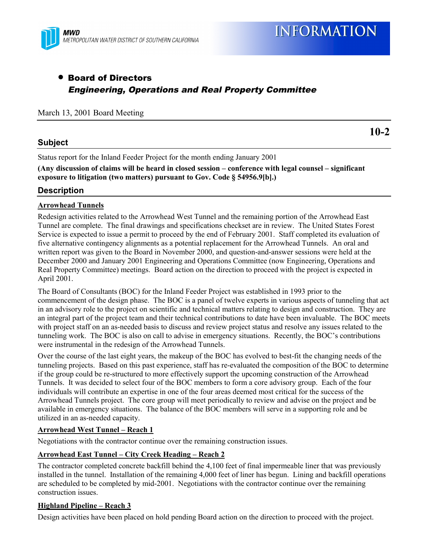

# • Board of Directors Engineering, Operations and Real Property Committee

#### March 13, 2001 Board Meeting

### **Subject**

**10-2**

Status report for the Inland Feeder Project for the month ending January 2001

**(Any discussion of claims will be heard in closed session – conference with legal counsel – significant exposure to litigation (two matters) pursuant to Gov. Code § 54956.9[b].)**

# **Description**

#### **Arrowhead Tunnels**

Redesign activities related to the Arrowhead West Tunnel and the remaining portion of the Arrowhead East Tunnel are complete. The final drawings and specifications checkset are in review. The United States Forest Service is expected to issue a permit to proceed by the end of February 2001. Staff completed its evaluation of five alternative contingency alignments as a potential replacement for the Arrowhead Tunnels. An oral and written report was given to the Board in November 2000, and question-and-answer sessions were held at the December 2000 and January 2001 Engineering and Operations Committee (now Engineering, Operations and Real Property Committee) meetings. Board action on the direction to proceed with the project is expected in April 2001.

The Board of Consultants (BOC) for the Inland Feeder Project was established in 1993 prior to the commencement of the design phase. The BOC is a panel of twelve experts in various aspects of tunneling that act in an advisory role to the project on scientific and technical matters relating to design and construction. They are an integral part of the project team and their technical contributions to date have been invaluable. The BOC meets with project staff on an as-needed basis to discuss and review project status and resolve any issues related to the tunneling work. The BOC is also on call to advise in emergency situations. Recently, the BOC's contributions were instrumental in the redesign of the Arrowhead Tunnels.

Over the course of the last eight years, the makeup of the BOC has evolved to best-fit the changing needs of the tunneling projects. Based on this past experience, staff has re-evaluated the composition of the BOC to determine if the group could be re-structured to more effectively support the upcoming construction of the Arrowhead Tunnels. It was decided to select four of the BOC members to form a core advisory group. Each of the four individuals will contribute an expertise in one of the four areas deemed most critical for the success of the Arrowhead Tunnels project. The core group will meet periodically to review and advise on the project and be available in emergency situations. The balance of the BOC members will serve in a supporting role and be utilized in an as-needed capacity.

#### **Arrowhead West Tunnel – Reach 1**

Negotiations with the contractor continue over the remaining construction issues.

#### **Arrowhead East Tunnel – City Creek Heading – Reach 2**

The contractor completed concrete backfill behind the 4,100 feet of final impermeable liner that was previously installed in the tunnel. Installation of the remaining 4,000 feet of liner has begun. Lining and backfill operations are scheduled to be completed by mid-2001. Negotiations with the contractor continue over the remaining construction issues.

#### **Highland Pipeline – Reach 3**

Design activities have been placed on hold pending Board action on the direction to proceed with the project.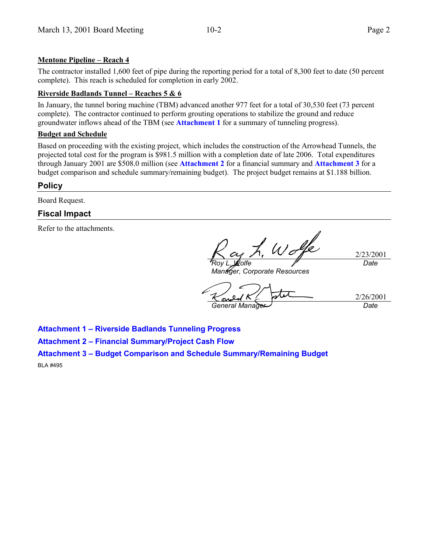#### **Mentone Pipeline – Reach 4**

The contractor installed 1,600 feet of pipe during the reporting period for a total of 8,300 feet to date (50 percent complete). This reach is scheduled for completion in early 2002.

#### **Riverside Badlands Tunnel – Reaches 5 & 6**

In January, the tunnel boring machine (TBM) advanced another 977 feet for a total of 30,530 feet (73 percent complete). The contractor continued to perform grouting operations to stabilize the ground and reduce groundwater inflows ahead of the TBM (see **Attachment 1** for a summary of tunneling progress).

#### **Budget and Schedule**

Based on proceeding with the existing project, which includes the construction of the Arrowhead Tunnels, the projected total cost for the program is \$981.5 million with a completion date of late 2006. Total expenditures through January 2001 are \$508.0 million (see **Attachment 2** for a financial summary and **Attachment 3** for a budget comparison and schedule summary/remaining budget). The project budget remains at \$1.188 billion.

# **Policy**

Board Request.

# **Fiscal Impact**

Refer to the attachments.

2/23/2001 *Roy L. Wolfe Date*

*Manager, Corporate Resources*

2/26/2001 *General Manager Date*

**Attachment 1 – Riverside Badlands Tunneling Progress**

**Attachment 2 – Financial Summary/Project Cash Flow**

**Attachment 3 – Budget Comparison and Schedule Summary/Remaining Budget**

BLA #495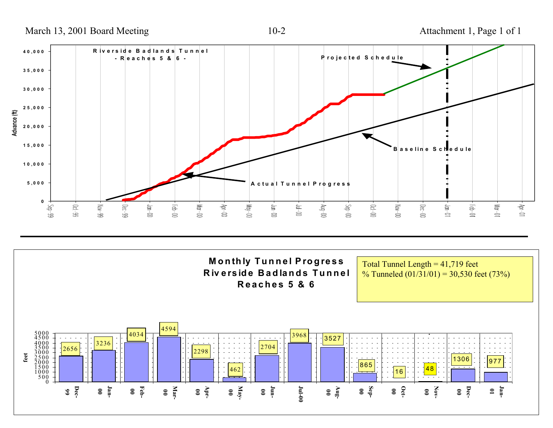March 13, 2001 Board Meeting 10-2 Attachment 1, Page 1 of 1

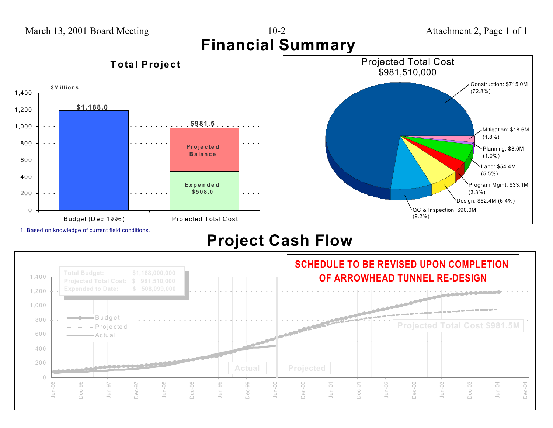

1. Based on knowledge of current field conditions.

# **Project Cash Flow**